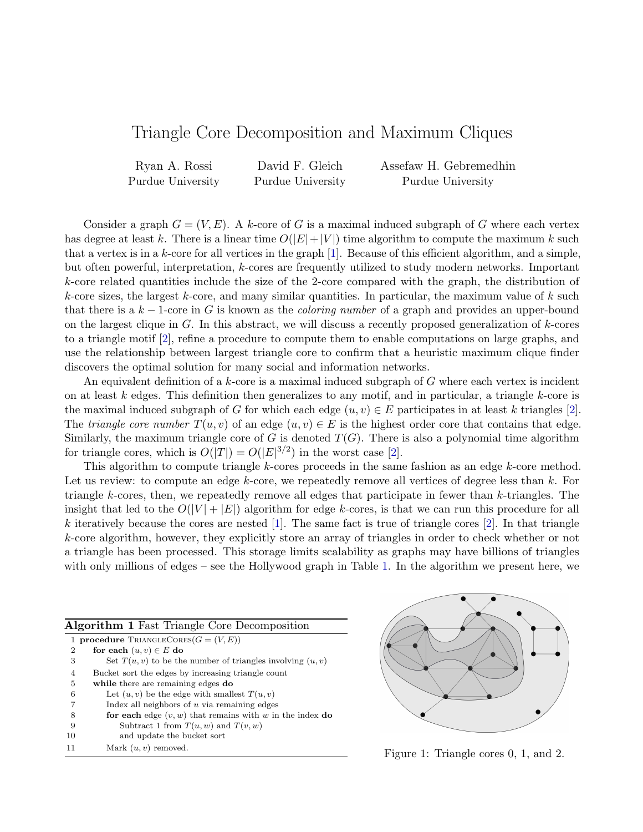## Triangle Core Decomposition and Maximum Cliques

Ryan A. Rossi Purdue University David F. Gleich Purdue University Assefaw H. Gebremedhin Purdue University

Consider a graph  $G = (V, E)$ . A k-core of G is a maximal induced subgraph of G where each vertex has degree at least k. There is a linear time  $O(|E|+|V|)$  time algorithm to compute the maximum k such that a vertex is in a k-core for all vertices in the graph [\[1\]](#page-1-0). Because of this efficient algorithm, and a simple, but often powerful, interpretation, k-cores are frequently utilized to study modern networks. Important k-core related quantities include the size of the 2-core compared with the graph, the distribution of k-core sizes, the largest k-core, and many similar quantities. In particular, the maximum value of  $k$  such that there is a  $k-1$ -core in G is known as the *coloring number* of a graph and provides an upper-bound on the largest clique in  $G$ . In this abstract, we will discuss a recently proposed generalization of  $k$ -cores to a triangle motif [\[2\]](#page-1-1), refine a procedure to compute them to enable computations on large graphs, and use the relationship between largest triangle core to confirm that a heuristic maximum clique finder discovers the optimal solution for many social and information networks.

An equivalent definition of a  $k$ -core is a maximal induced subgraph of  $G$  where each vertex is incident on at least k edges. This definition then generalizes to any motif, and in particular, a triangle k-core is the maximal induced subgraph of G for which each edge  $(u, v) \in E$  participates in at least k triangles [\[2\]](#page-1-1). The triangle core number  $T(u, v)$  of an edge  $(u, v) \in E$  is the highest order core that contains that edge. Similarly, the maximum triangle core of G is denoted  $T(G)$ . There is also a polynomial time algorithm for triangle cores, which is  $O(|T|) = O(|E|^{3/2})$  in the worst case [\[2\]](#page-1-1).

This algorithm to compute triangle k-cores proceeds in the same fashion as an edge k-core method. Let us review: to compute an edge  $k$ -core, we repeatedly remove all vertices of degree less than  $k$ . For triangle k-cores, then, we repeatedly remove all edges that participate in fewer than k-triangles. The insight that led to the  $O(|V| + |E|)$  algorithm for edge k-cores, is that we can run this procedure for all k iteratively because the cores are nested [\[1\]](#page-1-0). The same fact is true of triangle cores [\[2\]](#page-1-1). In that triangle k-core algorithm, however, they explicitly store an array of triangles in order to check whether or not a triangle has been processed. This storage limits scalability as graphs may have billions of triangles with only millions of edges – see the Hollywood graph in Table [1.](#page-1-2) In the algorithm we present here, we

<span id="page-0-0"></span>

| <b>Algorithm 1 Fast Triangle Core Decomposition</b> |                                                                |  |  |  |  |  |  |  |  |
|-----------------------------------------------------|----------------------------------------------------------------|--|--|--|--|--|--|--|--|
| 1.                                                  | <b>procedure</b> TRIANGLECORES $(G = (V, E))$                  |  |  |  |  |  |  |  |  |
| 2                                                   | for each $(u, v) \in E$ do                                     |  |  |  |  |  |  |  |  |
| 3                                                   | Set $T(u, v)$ to be the number of triangles involving $(u, v)$ |  |  |  |  |  |  |  |  |
| 4                                                   | Bucket sort the edges by increasing triangle count             |  |  |  |  |  |  |  |  |
| 5                                                   | while there are remaining edges do                             |  |  |  |  |  |  |  |  |
| 6                                                   | Let $(u, v)$ be the edge with smallest $T(u, v)$               |  |  |  |  |  |  |  |  |
| 7                                                   | Index all neighbors of $u$ via remaining edges                 |  |  |  |  |  |  |  |  |
| 8                                                   | for each edge $(v, w)$ that remains with w in the index do     |  |  |  |  |  |  |  |  |
| 9                                                   | Subtract 1 from $T(u, w)$ and $T(v, w)$                        |  |  |  |  |  |  |  |  |
| 10                                                  | and update the bucket sort                                     |  |  |  |  |  |  |  |  |
| 11                                                  | Mark $(u, v)$ removed.                                         |  |  |  |  |  |  |  |  |



Figure 1: Triangle cores  $0, 1$ , and  $2$ .